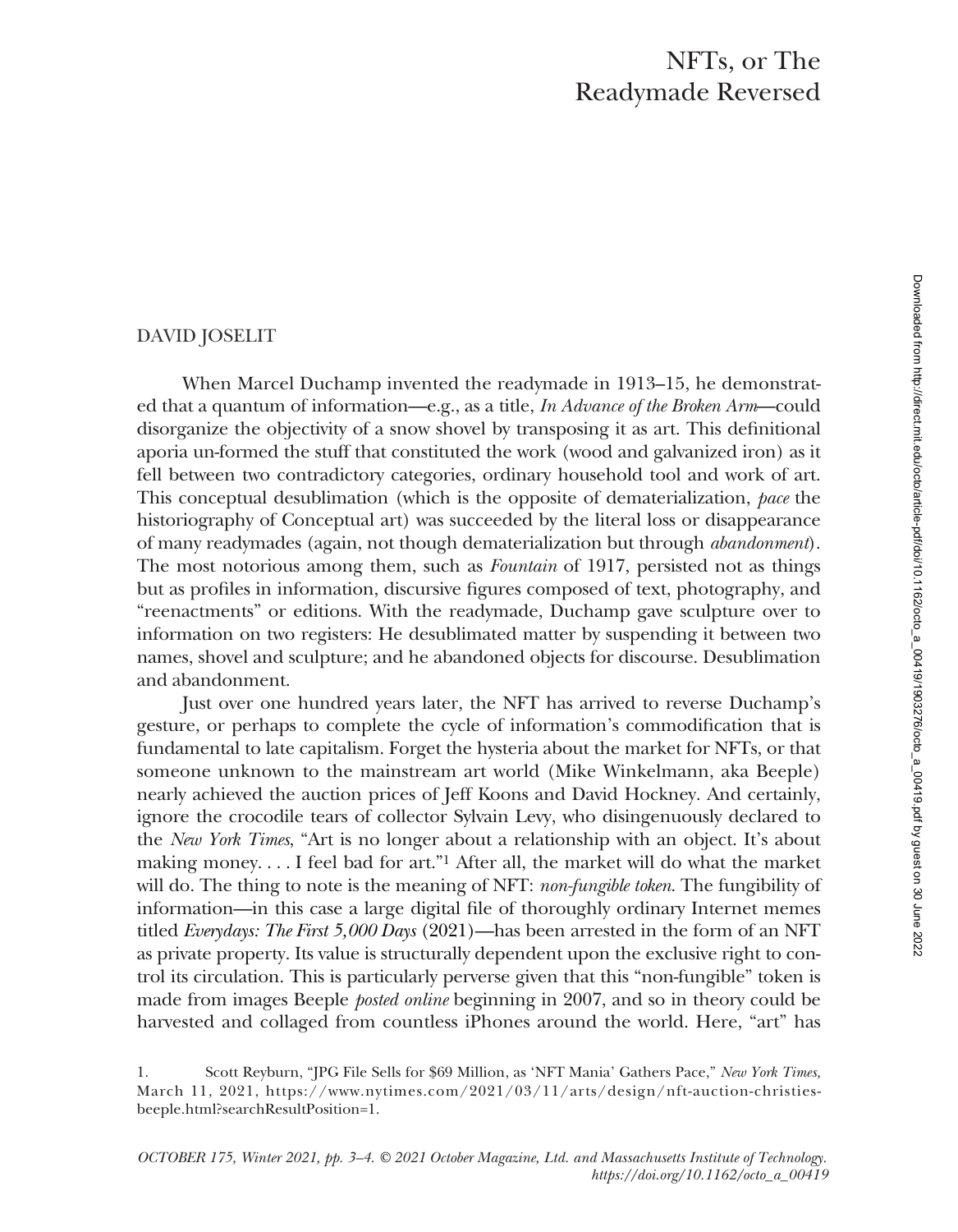## DAVID JOSELIT

When Marcel Duchamp invented the readymade in 1913–15, he demonstrated that a quantum of information—e.g., as a title, *In Advance of the Broken Arm*—could disorganize the objectivity of a snow shovel by transposing it as art. This definitional aporia un-formed the stuff that constituted the work (wood and galvanized iron) as it fell between two contradictory categories, ordinary household tool and work of art. This conceptual desublimation (which is the opposite of dematerialization, *pace* the historiography of Conceptual art) was succeeded by the literal loss or disappearance of many readymades (again, not though dematerialization but through *abandonment*). The most notorious among them, such as *Fountain* of 1917, persisted not as things but as profiles in information, discursive figures composed of text, photography, and "reenactments" or editions. With the readymade, Duchamp gave sculpture over to information on two registers: He desublimated matter by suspending it between two names, shovel and sculpture; and he abandoned objects for discourse. Desublimation and abandonment.

Just over one hundred years later, the NFT has arrived to reverse Duchamp's gesture, or perhaps to complete the cycle of information's commodification that is fundamental to late capitalism. Forget the hysteria about the market for NFTs, or that someone unknown to the mainstream art world (Mike Winkelmann, aka Beeple) nearly achieved the auction prices of Jeff Koons and David Hockney. And certainly, ignore the crocodile tears of collector Sylvain Levy, who disingenuously declared to the *New York Times*, "Art is no longer about a relationship with an object. It's about making money. . . . I feel bad for art."1 After all, the market will do what the market will do. The thing to note is the meaning of NFT: *non-fungible token*. The fungibility of information—in this case a large digital file of thoroughly ordinary Internet memes titled *Everydays: The First 5,000 Days* (2021)—has been arrested in the form of an NFT as private property. Its value is structurally dependent upon the exclusive right to control its circulation. This is particularly perverse given that this "non-fungible" token is made from images Beeple *posted online* beginning in 2007, and so in theory could be harvested and collaged from countless iPhones around the world. Here, "art" has

<sup>1.</sup> Scott Reyburn, "JPG File Sells for \$69 Million, as 'NFT Mania' Gathers Pace," *New York Times,* March 11, 2021, https://www.nytimes.com/2021/03/11/arts/design/nft-auction-christiesbeeple.html?searchResultPosition=1.